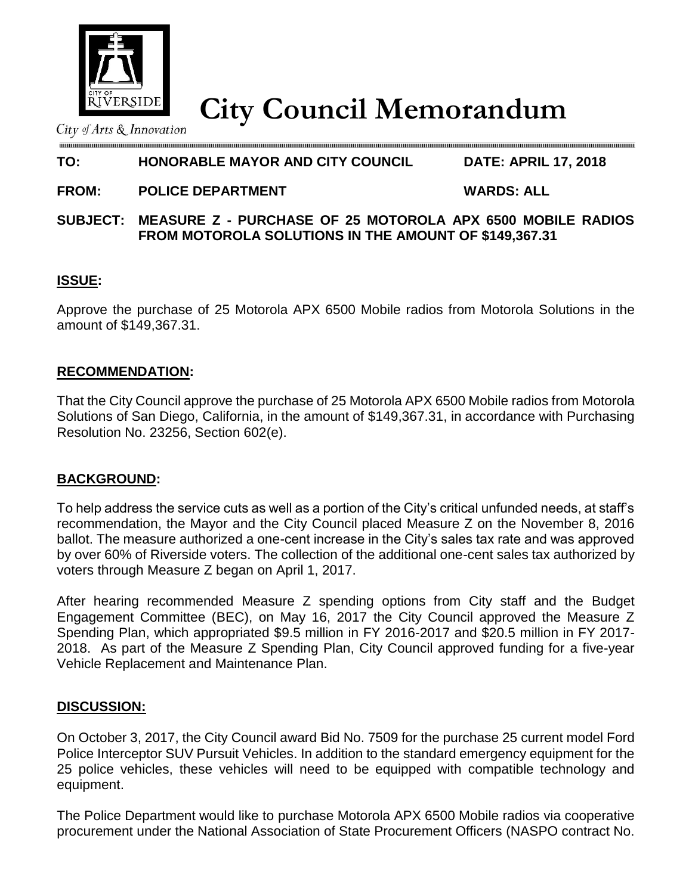

**City Council Memorandum**

City of Arts  $&$  Innovation

# **TO: HONORABLE MAYOR AND CITY COUNCIL DATE: APRIL 17, 2018**

**FROM: POLICE DEPARTMENT WARDS: ALL**

**SUBJECT: MEASURE Z - PURCHASE OF 25 MOTOROLA APX 6500 MOBILE RADIOS FROM MOTOROLA SOLUTIONS IN THE AMOUNT OF \$149,367.31**

# **ISSUE:**

Approve the purchase of 25 Motorola APX 6500 Mobile radios from Motorola Solutions in the amount of \$149,367.31.

# **RECOMMENDATION:**

That the City Council approve the purchase of 25 Motorola APX 6500 Mobile radios from Motorola Solutions of San Diego, California, in the amount of \$149,367.31, in accordance with Purchasing Resolution No. 23256, Section 602(e).

### **BACKGROUND:**

To help address the service cuts as well as a portion of the City's critical unfunded needs, at staff's recommendation, the Mayor and the City Council placed Measure Z on the November 8, 2016 ballot. The measure authorized a one-cent increase in the City's sales tax rate and was approved by over 60% of Riverside voters. The collection of the additional one-cent sales tax authorized by voters through Measure Z began on April 1, 2017.

After hearing recommended Measure Z spending options from City staff and the Budget Engagement Committee (BEC), on May 16, 2017 the City Council approved the Measure Z Spending Plan, which appropriated \$9.5 million in FY 2016-2017 and \$20.5 million in FY 2017- 2018. As part of the Measure Z Spending Plan, City Council approved funding for a five-year Vehicle Replacement and Maintenance Plan.

### **DISCUSSION:**

On October 3, 2017, the City Council award Bid No. 7509 for the purchase 25 current model Ford Police Interceptor SUV Pursuit Vehicles. In addition to the standard emergency equipment for the 25 police vehicles, these vehicles will need to be equipped with compatible technology and equipment.

The Police Department would like to purchase Motorola APX 6500 Mobile radios via cooperative procurement under the National Association of State Procurement Officers (NASPO contract No.